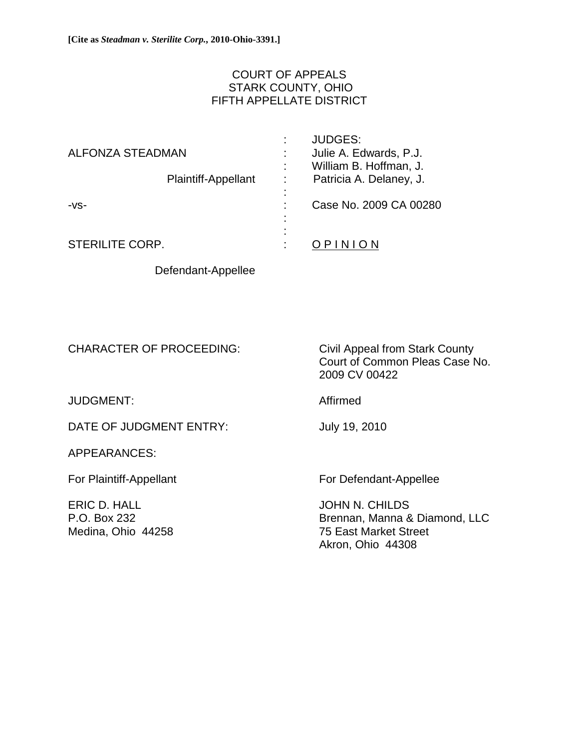## COURT OF APPEALS STARK COUNTY, OHIO FIFTH APPELLATE DISTRICT

| ALFONZA STEADMAN       |                     | ٠<br>÷                 | <b>JUDGES:</b><br>Julie A. Edwards, P.J.<br>William B. Hoffman, J. |
|------------------------|---------------------|------------------------|--------------------------------------------------------------------|
|                        | Plaintiff-Appellant | ٠                      | Patricia A. Delaney, J.                                            |
| $-VS-$                 |                     | ۰<br>٠<br>٠<br>۰.<br>۰ | Case No. 2009 CA 00280                                             |
| <b>STERILITE CORP.</b> |                     | ۰                      | OPINION                                                            |

Defendant-Appellee

CHARACTER OF PROCEEDING: Civil Appeal from Stark County

JUDGMENT: Affirmed

DATE OF JUDGMENT ENTRY: July 19, 2010

APPEARANCES:

ERIC D. HALL JOHN N. CHILDS

 Court of Common Pleas Case No. 2009 CV 00422

For Plaintiff-Appellant For Defendant-Appellee

P.O. Box 232 Brennan, Manna & Diamond, LLC Medina, Ohio 44258 75 East Market Street Akron, Ohio 44308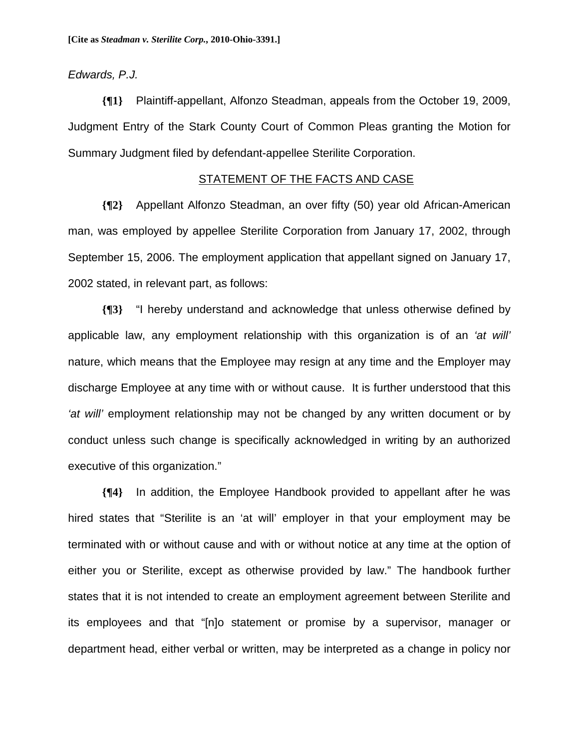### *Edwards, P.J.*

**{¶1}** Plaintiff-appellant, Alfonzo Steadman, appeals from the October 19, 2009, Judgment Entry of the Stark County Court of Common Pleas granting the Motion for Summary Judgment filed by defendant-appellee Sterilite Corporation.

## STATEMENT OF THE FACTS AND CASE

**{¶2}** Appellant Alfonzo Steadman, an over fifty (50) year old African-American man, was employed by appellee Sterilite Corporation from January 17, 2002, through September 15, 2006. The employment application that appellant signed on January 17, 2002 stated, in relevant part, as follows:

**{¶3}** "I hereby understand and acknowledge that unless otherwise defined by applicable law, any employment relationship with this organization is of an *'at will'* nature, which means that the Employee may resign at any time and the Employer may discharge Employee at any time with or without cause. It is further understood that this *'at will'* employment relationship may not be changed by any written document or by conduct unless such change is specifically acknowledged in writing by an authorized executive of this organization."

**{¶4}** In addition, the Employee Handbook provided to appellant after he was hired states that "Sterilite is an 'at will' employer in that your employment may be terminated with or without cause and with or without notice at any time at the option of either you or Sterilite, except as otherwise provided by law." The handbook further states that it is not intended to create an employment agreement between Sterilite and its employees and that "[n]o statement or promise by a supervisor, manager or department head, either verbal or written, may be interpreted as a change in policy nor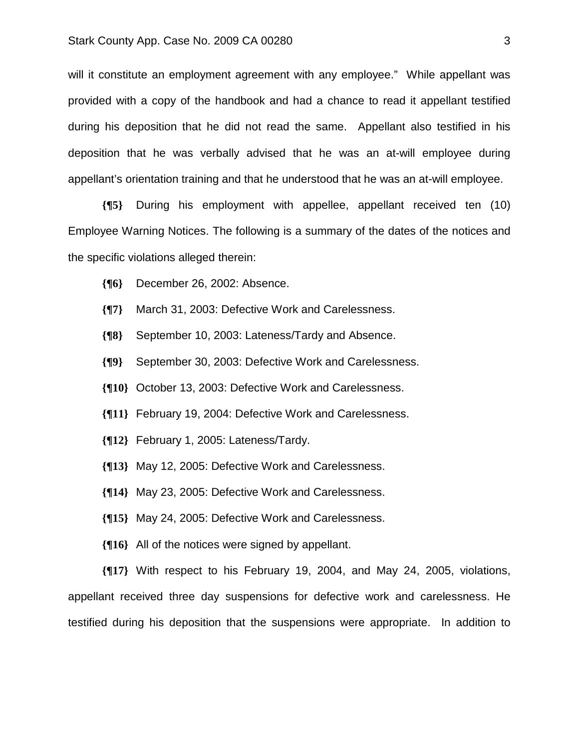will it constitute an employment agreement with any employee." While appellant was provided with a copy of the handbook and had a chance to read it appellant testified during his deposition that he did not read the same. Appellant also testified in his deposition that he was verbally advised that he was an at-will employee during appellant's orientation training and that he understood that he was an at-will employee.

**{¶5}** During his employment with appellee, appellant received ten (10) Employee Warning Notices. The following is a summary of the dates of the notices and the specific violations alleged therein:

- **{¶6}** December 26, 2002: Absence.
- **{¶7}** March 31, 2003: Defective Work and Carelessness.
- **{¶8}** September 10, 2003: Lateness/Tardy and Absence.
- **{¶9}** September 30, 2003: Defective Work and Carelessness.
- **{¶10}** October 13, 2003: Defective Work and Carelessness.
- **{¶11}** February 19, 2004: Defective Work and Carelessness.
- **{¶12}** February 1, 2005: Lateness/Tardy.
- **{¶13}** May 12, 2005: Defective Work and Carelessness.
- **{¶14}** May 23, 2005: Defective Work and Carelessness.
- **{¶15}** May 24, 2005: Defective Work and Carelessness.
- **{¶16}** All of the notices were signed by appellant.

**{¶17}** With respect to his February 19, 2004, and May 24, 2005, violations, appellant received three day suspensions for defective work and carelessness. He testified during his deposition that the suspensions were appropriate. In addition to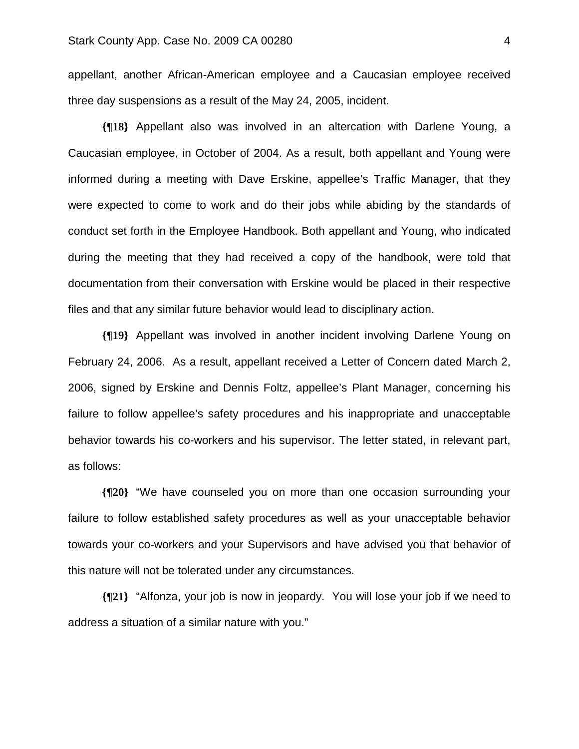appellant, another African-American employee and a Caucasian employee received three day suspensions as a result of the May 24, 2005, incident.

**{¶18}** Appellant also was involved in an altercation with Darlene Young, a Caucasian employee, in October of 2004. As a result, both appellant and Young were informed during a meeting with Dave Erskine, appellee's Traffic Manager, that they were expected to come to work and do their jobs while abiding by the standards of conduct set forth in the Employee Handbook. Both appellant and Young, who indicated during the meeting that they had received a copy of the handbook, were told that documentation from their conversation with Erskine would be placed in their respective files and that any similar future behavior would lead to disciplinary action.

**{¶19}** Appellant was involved in another incident involving Darlene Young on February 24, 2006. As a result, appellant received a Letter of Concern dated March 2, 2006, signed by Erskine and Dennis Foltz, appellee's Plant Manager, concerning his failure to follow appellee's safety procedures and his inappropriate and unacceptable behavior towards his co-workers and his supervisor. The letter stated, in relevant part, as follows:

**{¶20}** "We have counseled you on more than one occasion surrounding your failure to follow established safety procedures as well as your unacceptable behavior towards your co-workers and your Supervisors and have advised you that behavior of this nature will not be tolerated under any circumstances.

**{¶21}** "Alfonza, your job is now in jeopardy. You will lose your job if we need to address a situation of a similar nature with you."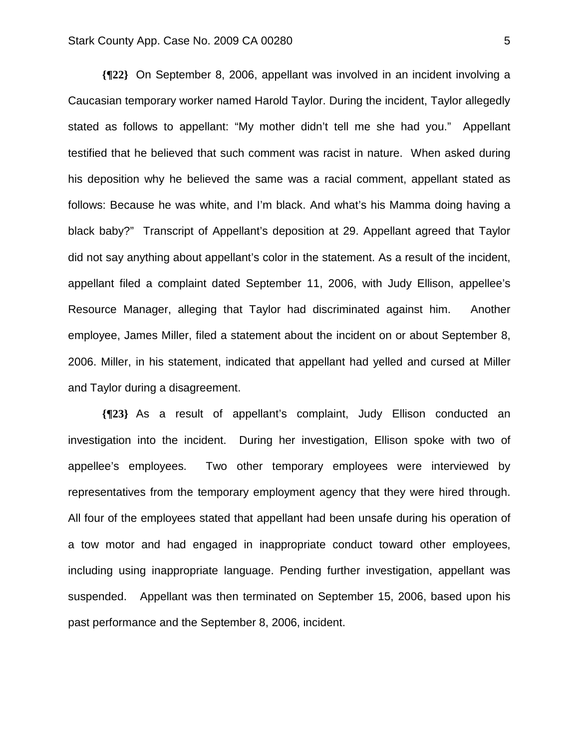**{¶22}** On September 8, 2006, appellant was involved in an incident involving a Caucasian temporary worker named Harold Taylor. During the incident, Taylor allegedly stated as follows to appellant: "My mother didn't tell me she had you." Appellant testified that he believed that such comment was racist in nature. When asked during his deposition why he believed the same was a racial comment, appellant stated as follows: Because he was white, and I'm black. And what's his Mamma doing having a black baby?" Transcript of Appellant's deposition at 29. Appellant agreed that Taylor did not say anything about appellant's color in the statement. As a result of the incident, appellant filed a complaint dated September 11, 2006, with Judy Ellison, appellee's Resource Manager, alleging that Taylor had discriminated against him. Another employee, James Miller, filed a statement about the incident on or about September 8, 2006. Miller, in his statement, indicated that appellant had yelled and cursed at Miller and Taylor during a disagreement.

**{¶23}** As a result of appellant's complaint, Judy Ellison conducted an investigation into the incident. During her investigation, Ellison spoke with two of appellee's employees. Two other temporary employees were interviewed by representatives from the temporary employment agency that they were hired through. All four of the employees stated that appellant had been unsafe during his operation of a tow motor and had engaged in inappropriate conduct toward other employees, including using inappropriate language. Pending further investigation, appellant was suspended. Appellant was then terminated on September 15, 2006, based upon his past performance and the September 8, 2006, incident.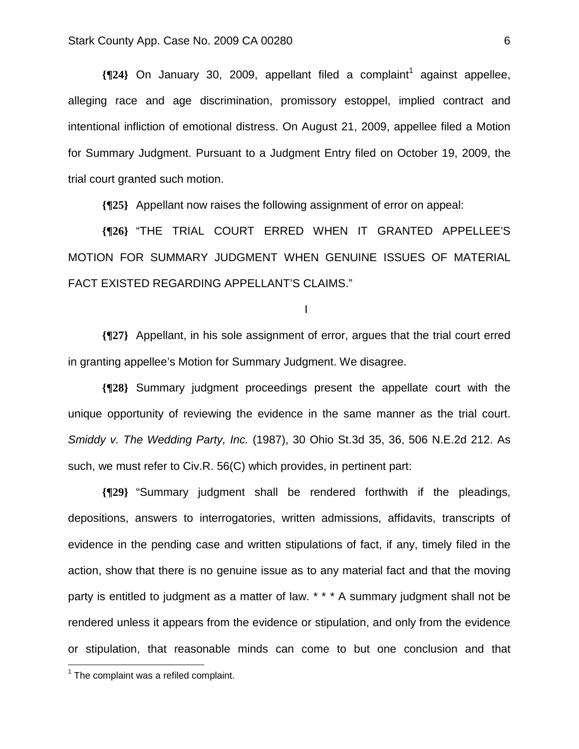**{**[24} On January 30, 2009, appellant filed a complaint<sup>1</sup> against appellee, alleging race and age discrimination, promissory estoppel, implied contract and intentional infliction of emotional distress. On August 21, 2009, appellee filed a Motion for Summary Judgment. Pursuant to a Judgment Entry filed on October 19, 2009, the trial court granted such motion.

**{¶25}** Appellant now raises the following assignment of error on appeal:

**{¶26}** "THE TRIAL COURT ERRED WHEN IT GRANTED APPELLEE'S MOTION FOR SUMMARY JUDGMENT WHEN GENUINE ISSUES OF MATERIAL FACT EXISTED REGARDING APPELLANT'S CLAIMS."

I

**{¶27}** Appellant, in his sole assignment of error, argues that the trial court erred in granting appellee's Motion for Summary Judgment. We disagree.

**{¶28}** Summary judgment proceedings present the appellate court with the unique opportunity of reviewing the evidence in the same manner as the trial court. *Smiddy v. The Wedding Party, Inc.* (1987), 30 Ohio St.3d 35, 36, 506 N.E.2d 212. As such, we must refer to Civ.R. 56(C) which provides, in pertinent part:

**{¶29}** "Summary judgment shall be rendered forthwith if the pleadings, depositions, answers to interrogatories, written admissions, affidavits, transcripts of evidence in the pending case and written stipulations of fact, if any, timely filed in the action, show that there is no genuine issue as to any material fact and that the moving party is entitled to judgment as a matter of law. \* \* \* A summary judgment shall not be rendered unless it appears from the evidence or stipulation, and only from the evidence or stipulation, that reasonable minds can come to but one conclusion and that

1

 $1$  The complaint was a refiled complaint.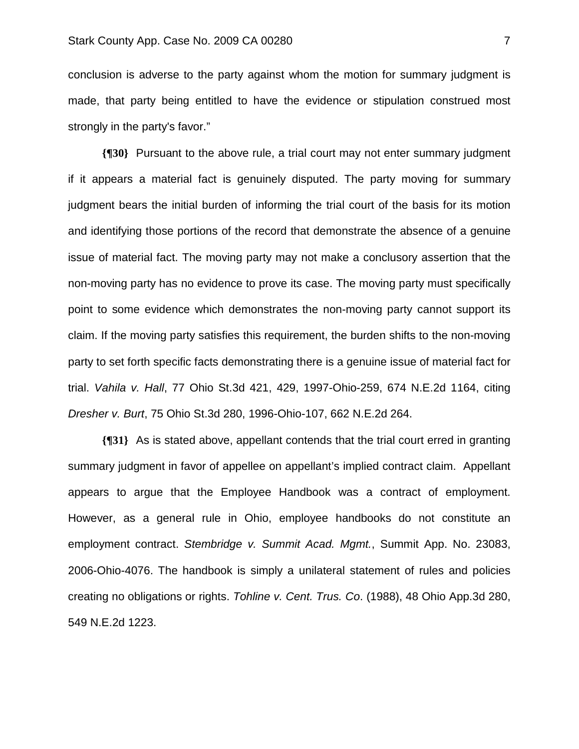conclusion is adverse to the party against whom the motion for summary judgment is made, that party being entitled to have the evidence or stipulation construed most strongly in the party's favor."

**{¶30}** Pursuant to the above rule, a trial court may not enter summary judgment if it appears a material fact is genuinely disputed. The party moving for summary judgment bears the initial burden of informing the trial court of the basis for its motion and identifying those portions of the record that demonstrate the absence of a genuine issue of material fact. The moving party may not make a conclusory assertion that the non-moving party has no evidence to prove its case. The moving party must specifically point to some evidence which demonstrates the non-moving party cannot support its claim. If the moving party satisfies this requirement, the burden shifts to the non-moving party to set forth specific facts demonstrating there is a genuine issue of material fact for trial. *Vahila v. Hall*, 77 Ohio St.3d 421, 429, 1997-Ohio-259, 674 N.E.2d 1164, citing *Dresher v. Burt*, 75 Ohio St.3d 280, 1996-Ohio-107, 662 N.E.2d 264.

**{¶31}** As is stated above, appellant contends that the trial court erred in granting summary judgment in favor of appellee on appellant's implied contract claim. Appellant appears to argue that the Employee Handbook was a contract of employment. However, as a general rule in Ohio, employee handbooks do not constitute an employment contract. *Stembridge v. Summit Acad. Mgmt.*, Summit App. No. 23083, 2006-Ohio-4076. The handbook is simply a unilateral statement of rules and policies creating no obligations or rights. *Tohline v. Cent. Trus. Co*. (1988), 48 Ohio App.3d 280, 549 N.E.2d 1223.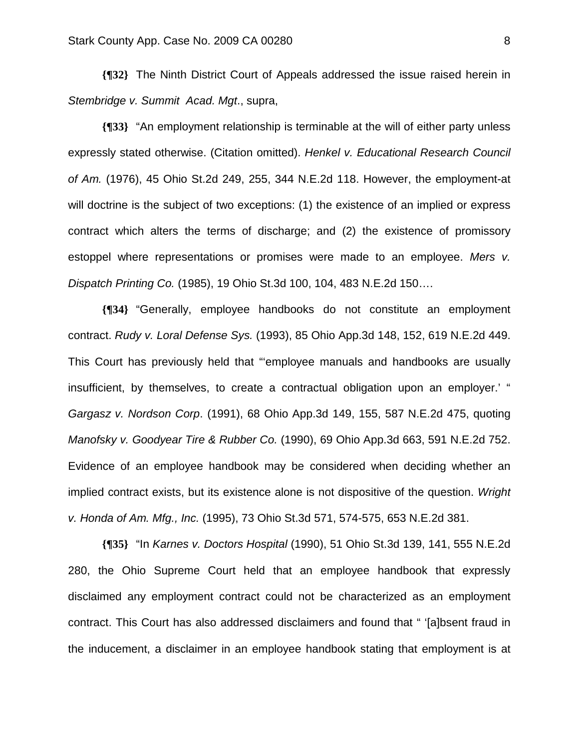**{¶32}** The Ninth District Court of Appeals addressed the issue raised herein in *Stembridge v. Summit Acad. Mgt*., supra,

**{¶33}** "An employment relationship is terminable at the will of either party unless expressly stated otherwise. (Citation omitted). *Henkel v. Educational Research Council of Am.* (1976), 45 Ohio St.2d 249, 255, 344 N.E.2d 118. However, the employment-at will doctrine is the subject of two exceptions: (1) the existence of an implied or express contract which alters the terms of discharge; and (2) the existence of promissory estoppel where representations or promises were made to an employee. *Mers v. Dispatch Printing Co.* (1985), 19 Ohio St.3d 100, 104, 483 N.E.2d 150….

**{¶34}** "Generally, employee handbooks do not constitute an employment contract. *Rudy v. Loral Defense Sys.* (1993), 85 Ohio App.3d 148, 152, 619 N.E.2d 449. This Court has previously held that "'employee manuals and handbooks are usually insufficient, by themselves, to create a contractual obligation upon an employer.' " *Gargasz v. Nordson Corp*. (1991), 68 Ohio App.3d 149, 155, 587 N.E.2d 475, quoting *Manofsky v. Goodyear Tire & Rubber Co.* (1990), 69 Ohio App.3d 663, 591 N.E.2d 752. Evidence of an employee handbook may be considered when deciding whether an implied contract exists, but its existence alone is not dispositive of the question. *Wright v. Honda of Am. Mfg., Inc.* (1995), 73 Ohio St.3d 571, 574-575, 653 N.E.2d 381.

**{¶35}** "In *Karnes v. Doctors Hospital* (1990), 51 Ohio St.3d 139, 141, 555 N.E.2d 280, the Ohio Supreme Court held that an employee handbook that expressly disclaimed any employment contract could not be characterized as an employment contract. This Court has also addressed disclaimers and found that " '[a]bsent fraud in the inducement, a disclaimer in an employee handbook stating that employment is at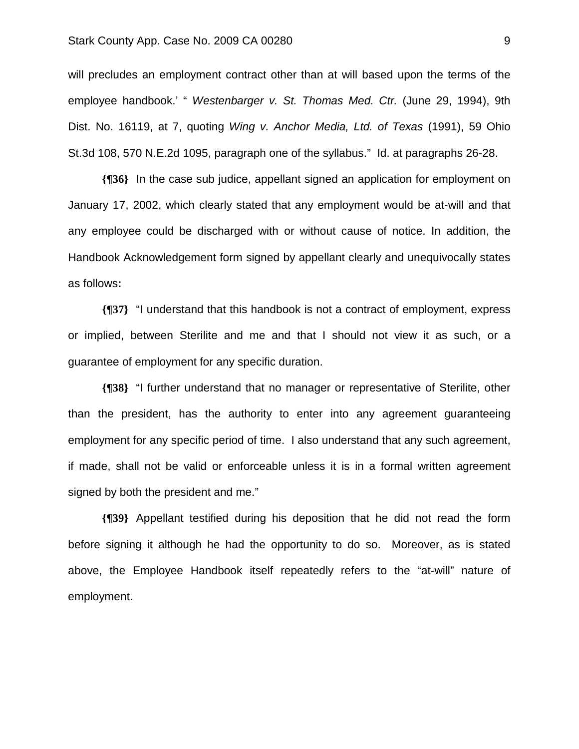will precludes an employment contract other than at will based upon the terms of the employee handbook.' " *Westenbarger v. St. Thomas Med. Ctr.* (June 29, 1994), 9th Dist. No. 16119, at 7, quoting *Wing v. Anchor Media, Ltd. of Texas* (1991), 59 Ohio St.3d 108, 570 N.E.2d 1095, paragraph one of the syllabus." Id. at paragraphs 26-28.

**{¶36}** In the case sub judice, appellant signed an application for employment on January 17, 2002, which clearly stated that any employment would be at-will and that any employee could be discharged with or without cause of notice. In addition, the Handbook Acknowledgement form signed by appellant clearly and unequivocally states as follows**:** 

**{¶37}** "I understand that this handbook is not a contract of employment, express or implied, between Sterilite and me and that I should not view it as such, or a guarantee of employment for any specific duration.

**{¶38}** "I further understand that no manager or representative of Sterilite, other than the president, has the authority to enter into any agreement guaranteeing employment for any specific period of time. I also understand that any such agreement, if made, shall not be valid or enforceable unless it is in a formal written agreement signed by both the president and me."

**{¶39}** Appellant testified during his deposition that he did not read the form before signing it although he had the opportunity to do so. Moreover, as is stated above, the Employee Handbook itself repeatedly refers to the "at-will" nature of employment.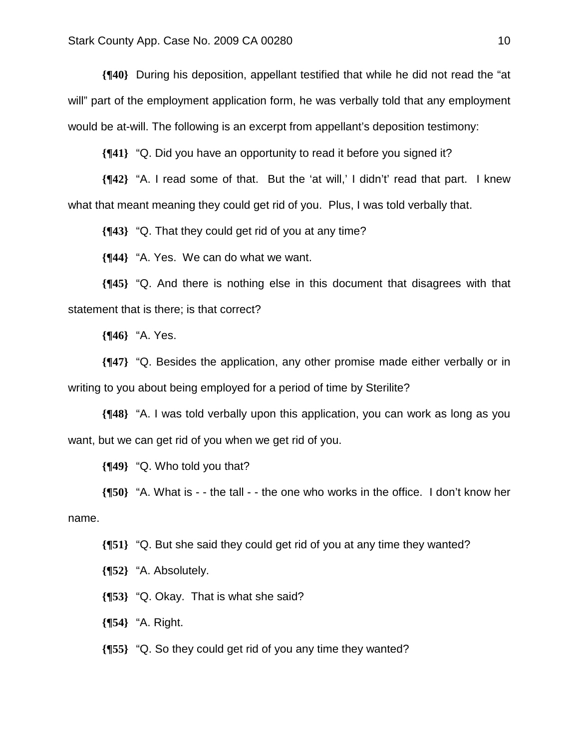**{¶40}** During his deposition, appellant testified that while he did not read the "at will" part of the employment application form, he was verbally told that any employment would be at-will. The following is an excerpt from appellant's deposition testimony:

**{¶41}** "Q. Did you have an opportunity to read it before you signed it?

**{¶42}** "A. I read some of that. But the 'at will,' I didn't' read that part. I knew what that meant meaning they could get rid of you. Plus, I was told verbally that.

**{¶43}** "Q. That they could get rid of you at any time?

**{¶44}** "A. Yes. We can do what we want.

**{¶45}** "Q. And there is nothing else in this document that disagrees with that statement that is there; is that correct?

**{¶46}** "A. Yes.

**{¶47}** "Q. Besides the application, any other promise made either verbally or in writing to you about being employed for a period of time by Sterilite?

**{¶48}** "A. I was told verbally upon this application, you can work as long as you want, but we can get rid of you when we get rid of you.

**{¶49}** "Q. Who told you that?

**{¶50}** "A. What is - - the tall - - the one who works in the office. I don't know her name.

**{¶51}** "Q. But she said they could get rid of you at any time they wanted?

**{¶52}** "A. Absolutely.

**{¶53}** "Q. Okay. That is what she said?

**{¶54}** "A. Right.

**{¶55}** "Q. So they could get rid of you any time they wanted?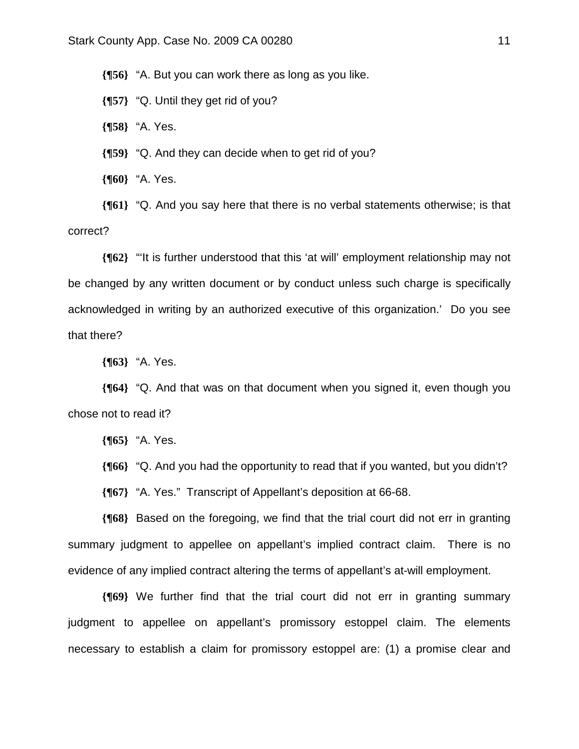**{¶56}** "A. But you can work there as long as you like.

**{¶57}** "Q. Until they get rid of you?

**{¶58}** "A. Yes.

**{¶59}** "Q. And they can decide when to get rid of you?

**{¶60}** "A. Yes.

**{¶61}** "Q. And you say here that there is no verbal statements otherwise; is that correct?

**{¶62}** "'It is further understood that this 'at will' employment relationship may not be changed by any written document or by conduct unless such charge is specifically acknowledged in writing by an authorized executive of this organization.' Do you see that there?

**{¶63}** "A. Yes.

**{¶64}** "Q. And that was on that document when you signed it, even though you chose not to read it?

**{¶65}** "A. Yes.

**{¶66}** "Q. And you had the opportunity to read that if you wanted, but you didn't?

**{¶67}** "A. Yes." Transcript of Appellant's deposition at 66-68.

**{¶68}** Based on the foregoing, we find that the trial court did not err in granting summary judgment to appellee on appellant's implied contract claim. There is no evidence of any implied contract altering the terms of appellant's at-will employment.

**{¶69}** We further find that the trial court did not err in granting summary judgment to appellee on appellant's promissory estoppel claim. The elements necessary to establish a claim for promissory estoppel are: (1) a promise clear and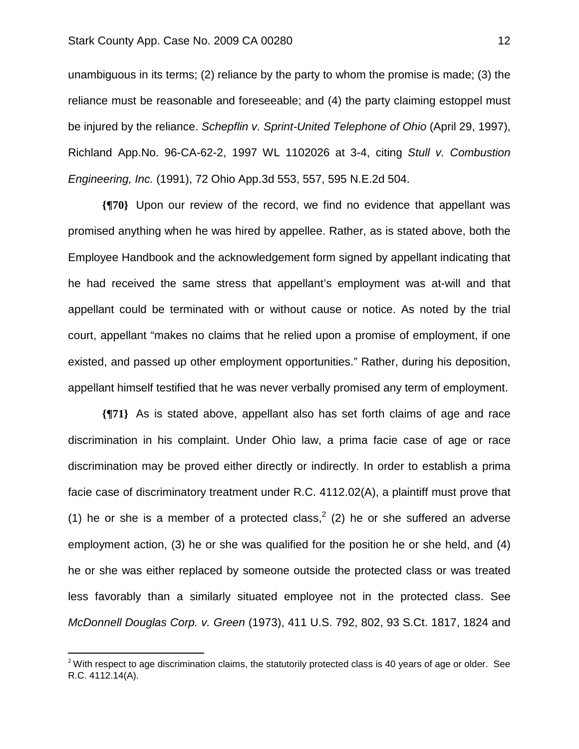unambiguous in its terms; (2) reliance by the party to whom the promise is made; (3) the reliance must be reasonable and foreseeable; and (4) the party claiming estoppel must be injured by the reliance. *Schepflin v. Sprint-United Telephone of Ohio* (April 29, 1997), Richland App.No. 96-CA-62-2, 1997 WL 1102026 at 3-4, citing *Stull v. Combustion Engineering, Inc.* (1991), 72 Ohio App.3d 553, 557, 595 N.E.2d 504.

**{¶70}** Upon our review of the record, we find no evidence that appellant was promised anything when he was hired by appellee. Rather, as is stated above, both the Employee Handbook and the acknowledgement form signed by appellant indicating that he had received the same stress that appellant's employment was at-will and that appellant could be terminated with or without cause or notice. As noted by the trial court, appellant "makes no claims that he relied upon a promise of employment, if one existed, and passed up other employment opportunities." Rather, during his deposition, appellant himself testified that he was never verbally promised any term of employment.

**{¶71}** As is stated above, appellant also has set forth claims of age and race discrimination in his complaint. Under Ohio law, a prima facie case of age or race discrimination may be proved either directly or indirectly. In order to establish a prima facie case of discriminatory treatment under R.C. 4112.02(A), a plaintiff must prove that (1) he or she is a member of a protected class,<sup>2</sup> (2) he or she suffered an adverse employment action, (3) he or she was qualified for the position he or she held, and (4) he or she was either replaced by someone outside the protected class or was treated less favorably than a similarly situated employee not in the protected class. See *McDonnell Douglas Corp. v. Green* (1973), 411 U.S. 792, 802, 93 S.Ct. 1817, 1824 and

1

 $2$  With respect to age discrimination claims, the statutorily protected class is 40 years of age or older. See R.C. 4112.14(A).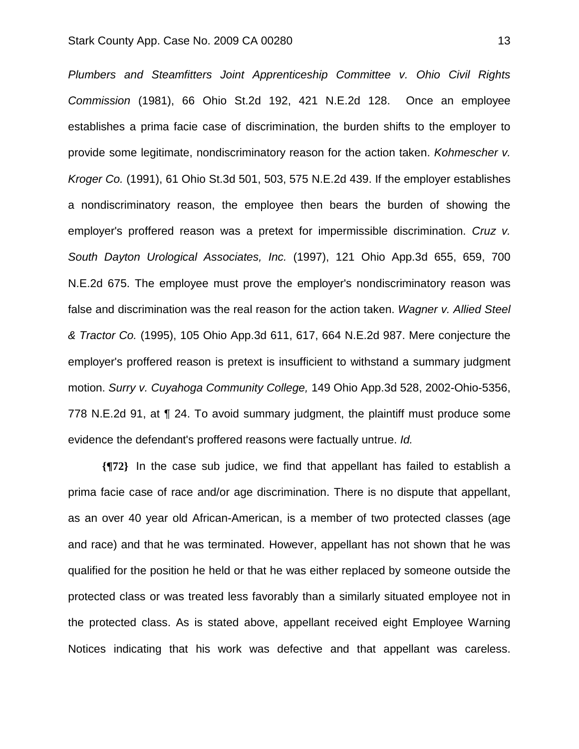*Plumbers and Steamfitters Joint Apprenticeship Committee v. Ohio Civil Rights Commission* (1981), 66 Ohio St.2d 192, 421 N.E.2d 128. Once an employee establishes a prima facie case of discrimination, the burden shifts to the employer to provide some legitimate, nondiscriminatory reason for the action taken. *Kohmescher v. Kroger Co.* (1991), 61 Ohio St.3d 501, 503, 575 N.E.2d 439. If the employer establishes a nondiscriminatory reason, the employee then bears the burden of showing the employer's proffered reason was a pretext for impermissible discrimination. *Cruz v. South Dayton Urological Associates, Inc.* (1997), 121 Ohio App.3d 655, 659, 700 N.E.2d 675. The employee must prove the employer's nondiscriminatory reason was false and discrimination was the real reason for the action taken. *Wagner v. Allied Steel & Tractor Co.* (1995), 105 Ohio App.3d 611, 617, 664 N.E.2d 987. Mere conjecture the employer's proffered reason is pretext is insufficient to withstand a summary judgment motion. *Surry v. Cuyahoga Community College,* 149 Ohio App.3d 528, 2002-Ohio-5356, 778 N.E.2d 91, at ¶ 24. To avoid summary judgment, the plaintiff must produce some evidence the defendant's proffered reasons were factually untrue. *Id.* 

**{¶72}** In the case sub judice, we find that appellant has failed to establish a prima facie case of race and/or age discrimination. There is no dispute that appellant, as an over 40 year old African-American, is a member of two protected classes (age and race) and that he was terminated. However, appellant has not shown that he was qualified for the position he held or that he was either replaced by someone outside the protected class or was treated less favorably than a similarly situated employee not in the protected class. As is stated above, appellant received eight Employee Warning Notices indicating that his work was defective and that appellant was careless.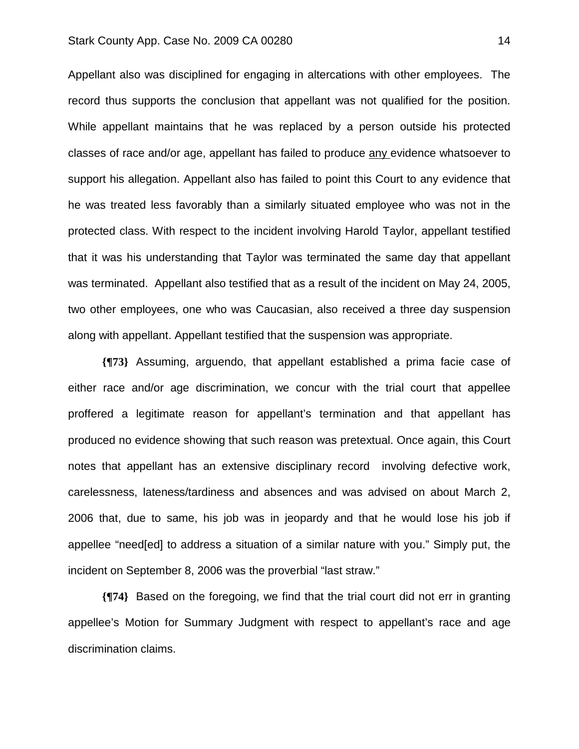Appellant also was disciplined for engaging in altercations with other employees. The record thus supports the conclusion that appellant was not qualified for the position. While appellant maintains that he was replaced by a person outside his protected classes of race and/or age, appellant has failed to produce any evidence whatsoever to support his allegation. Appellant also has failed to point this Court to any evidence that he was treated less favorably than a similarly situated employee who was not in the protected class. With respect to the incident involving Harold Taylor, appellant testified that it was his understanding that Taylor was terminated the same day that appellant was terminated. Appellant also testified that as a result of the incident on May 24, 2005, two other employees, one who was Caucasian, also received a three day suspension along with appellant. Appellant testified that the suspension was appropriate.

**{¶73}** Assuming, arguendo, that appellant established a prima facie case of either race and/or age discrimination, we concur with the trial court that appellee proffered a legitimate reason for appellant's termination and that appellant has produced no evidence showing that such reason was pretextual. Once again, this Court notes that appellant has an extensive disciplinary record involving defective work, carelessness, lateness/tardiness and absences and was advised on about March 2, 2006 that, due to same, his job was in jeopardy and that he would lose his job if appellee "need[ed] to address a situation of a similar nature with you." Simply put, the incident on September 8, 2006 was the proverbial "last straw."

**{¶74}** Based on the foregoing, we find that the trial court did not err in granting appellee's Motion for Summary Judgment with respect to appellant's race and age discrimination claims.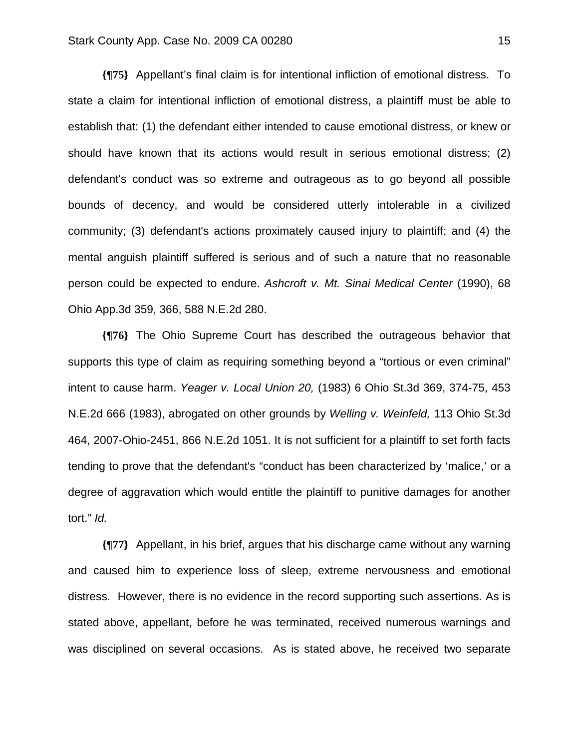**{¶75}** Appellant's final claim is for intentional infliction of emotional distress. To state a claim for intentional infliction of emotional distress, a plaintiff must be able to establish that: (1) the defendant either intended to cause emotional distress, or knew or should have known that its actions would result in serious emotional distress; (2) defendant's conduct was so extreme and outrageous as to go beyond all possible bounds of decency, and would be considered utterly intolerable in a civilized community; (3) defendant's actions proximately caused injury to plaintiff; and (4) the mental anguish plaintiff suffered is serious and of such a nature that no reasonable person could be expected to endure. *Ashcroft v. Mt. Sinai Medical Center* (1990), 68 Ohio App.3d 359, 366, 588 N.E.2d 280.

**{¶76}** The Ohio Supreme Court has described the outrageous behavior that supports this type of claim as requiring something beyond a "tortious or even criminal" intent to cause harm. *Yeager v. Local Union 20,* (1983) 6 Ohio St.3d 369, 374-75, 453 N.E.2d 666 (1983), abrogated on other grounds by *Welling v. Weinfeld,* 113 Ohio St.3d 464, 2007-Ohio-2451, 866 N.E.2d 1051. It is not sufficient for a plaintiff to set forth facts tending to prove that the defendant's "conduct has been characterized by 'malice,' or a degree of aggravation which would entitle the plaintiff to punitive damages for another tort." *Id.*

**{¶77}** Appellant, in his brief, argues that his discharge came without any warning and caused him to experience loss of sleep, extreme nervousness and emotional distress. However, there is no evidence in the record supporting such assertions. As is stated above, appellant, before he was terminated, received numerous warnings and was disciplined on several occasions. As is stated above, he received two separate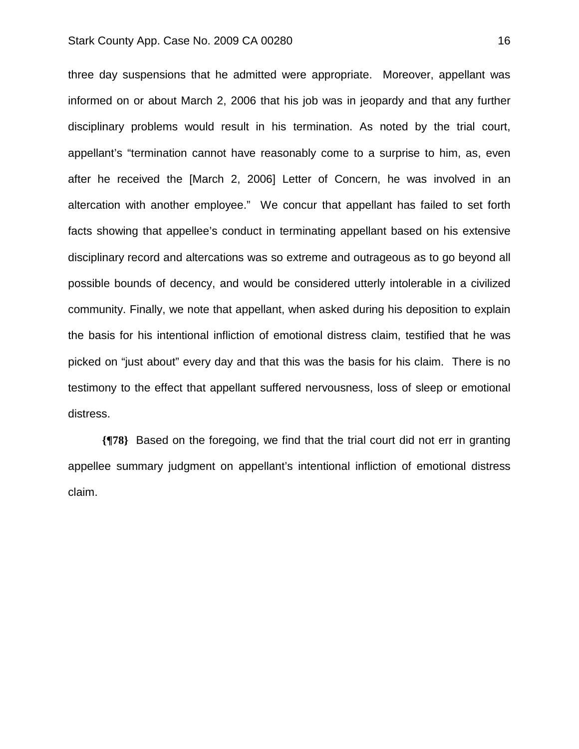three day suspensions that he admitted were appropriate. Moreover, appellant was informed on or about March 2, 2006 that his job was in jeopardy and that any further disciplinary problems would result in his termination. As noted by the trial court, appellant's "termination cannot have reasonably come to a surprise to him, as, even after he received the [March 2, 2006] Letter of Concern, he was involved in an altercation with another employee." We concur that appellant has failed to set forth facts showing that appellee's conduct in terminating appellant based on his extensive disciplinary record and altercations was so extreme and outrageous as to go beyond all possible bounds of decency, and would be considered utterly intolerable in a civilized community. Finally, we note that appellant, when asked during his deposition to explain the basis for his intentional infliction of emotional distress claim, testified that he was picked on "just about" every day and that this was the basis for his claim. There is no testimony to the effect that appellant suffered nervousness, loss of sleep or emotional distress.

**{¶78}** Based on the foregoing, we find that the trial court did not err in granting appellee summary judgment on appellant's intentional infliction of emotional distress claim.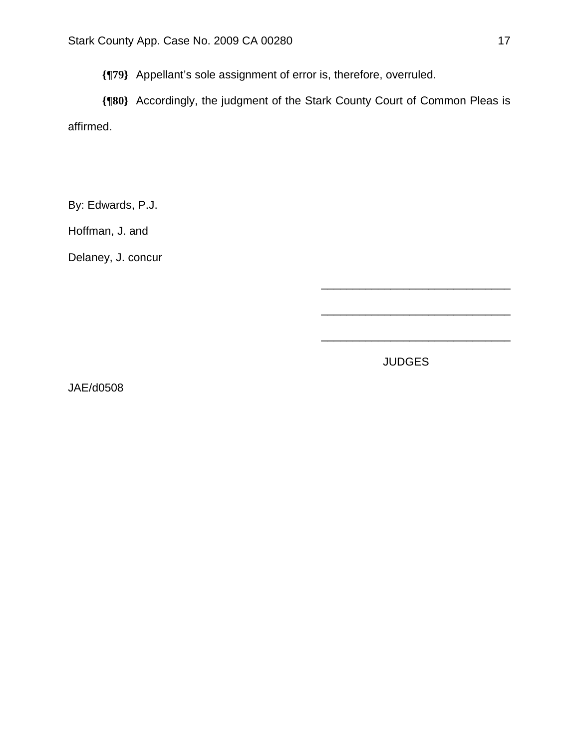**{¶79}** Appellant's sole assignment of error is, therefore, overruled.

**{¶80}** Accordingly, the judgment of the Stark County Court of Common Pleas is affirmed.

By: Edwards, P.J.

Hoffman, J. and

Delaney, J. concur

JUDGES

\_\_\_\_\_\_\_\_\_\_\_\_\_\_\_\_\_\_\_\_\_\_\_\_\_\_\_\_\_\_

\_\_\_\_\_\_\_\_\_\_\_\_\_\_\_\_\_\_\_\_\_\_\_\_\_\_\_\_\_\_

\_\_\_\_\_\_\_\_\_\_\_\_\_\_\_\_\_\_\_\_\_\_\_\_\_\_\_\_\_\_

JAE/d0508